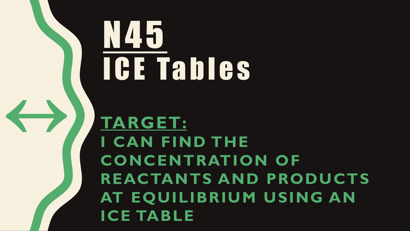**TARGET: I CAN FIND THE CONCENTRATION OF REACTANTS AND PRODUCTS AT EQUILIBRIUM USING AN ICE TABLE**

# N45 I C E Ta b l e s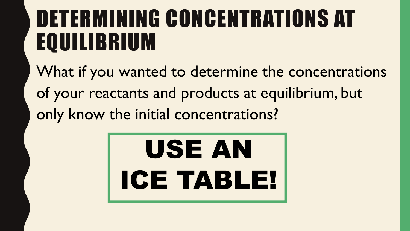## DETERMINING CONCENTRATIONS AT EQUILIBRIUM

What if you wanted to determine the concentrations of your reactants and products at equilibrium, but only know the initial concentrations?

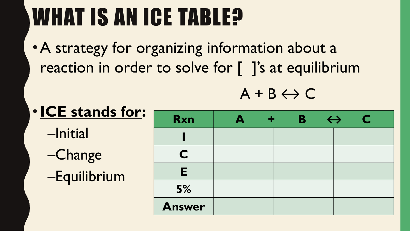# WHAT IS AN ICE TABLE?

•A strategy for organizing information about a reaction in order to solve for [ ]'s at equilibrium

 $A + B \leftrightarrow C$ 

| <b>. ICE stands for:</b> | <b>Rxn</b> | $\blacktriangle$ | ÷ | B | $\leftrightarrow$ |  |
|--------------------------|------------|------------------|---|---|-------------------|--|
| -Initial                 |            |                  |   |   |                   |  |
| $-Change$                |            |                  |   |   |                   |  |
| -Equilibrium             | F          |                  |   |   |                   |  |
|                          | 5%         |                  |   |   |                   |  |
|                          |            |                  |   |   |                   |  |

**Answer**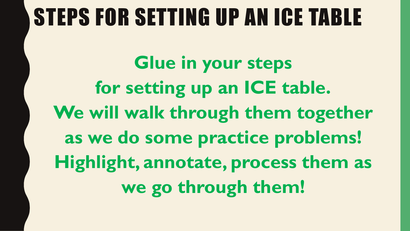#### STEPS FOR SETTING UP AN ICE TABLE

**Glue in your steps for setting up an ICE table.** We will walk through them together **as we do some practice problems! Highlight, annotate, process them as we go through them!**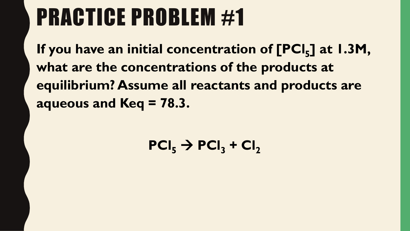## PRACTICE PROBLEM #1

**If you have an initial concentration of [PCl<sup>5</sup> ] at 1.3M, what are the concentrations of the products at equilibrium? Assume all reactants and products are aqueous and Keq = 78.3.**

 $PCI_5 \rightarrow PCI_3 + CI_2$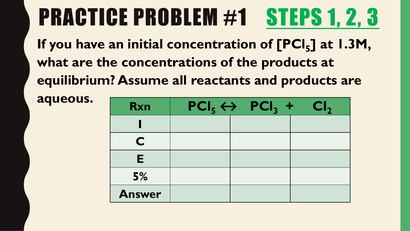# PRACTICE PROBLEM #1 STEPS 1, 2, 3

| aqueous. | <b>Rxn</b>    | $PCI_5 \leftrightarrow PCI_3 +$ | Cl <sub>2</sub> |
|----------|---------------|---------------------------------|-----------------|
|          |               |                                 |                 |
|          | C             |                                 |                 |
|          | E             |                                 |                 |
|          | 5%            |                                 |                 |
|          | <b>Answer</b> |                                 |                 |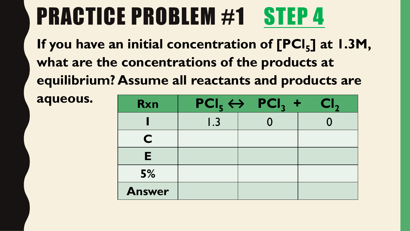| aqueous. | <b>Rxn</b>    |                            | $PCI_5 \leftrightarrow PCI_3 +$ | Cl <sub>2</sub> |
|----------|---------------|----------------------------|---------------------------------|-----------------|
|          |               | $\overline{\mathsf{I}}$ .3 |                                 |                 |
|          | C             |                            |                                 |                 |
|          | E.            |                            |                                 |                 |
|          | 5%            |                            |                                 |                 |
|          | <b>Answer</b> |                            |                                 |                 |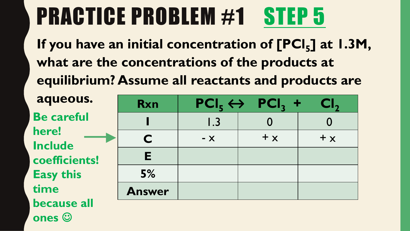**If you have an initial concentration of [PCl<sup>5</sup> ] at 1.3M, what are the concentrations of the products at equilibrium? Assume all reactants and products are** 

| aqueous.                            | <b>Rxn</b>    |       | $PCI_5 \leftrightarrow PCI_3 +$ | Cl <sub>2</sub> |
|-------------------------------------|---------------|-------|---------------------------------|-----------------|
| <b>Be careful</b>                   |               | 1.3   |                                 |                 |
| here!<br><b>Include</b>             | C             | $- x$ | $+ x$                           | $+ x$           |
| coefficients!                       | E             |       |                                 |                 |
| <b>Easy this</b>                    | 5%            |       |                                 |                 |
| time                                | <b>Answer</b> |       |                                 |                 |
| <b>because all</b><br><b>Second</b> |               |       |                                 |                 |

**ones**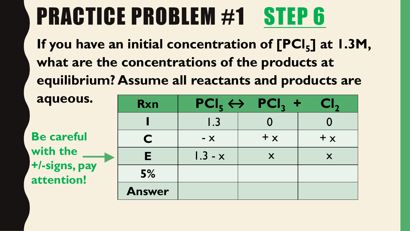| aqueous.                    | <b>Rxn</b>    |           | $\text{PCI}_5 \leftrightarrow \text{PCI}_3 +$ | $\mathsf{CI}_2$ |
|-----------------------------|---------------|-----------|-----------------------------------------------|-----------------|
|                             |               | 1.3       |                                               |                 |
| <b>Be careful</b>           | C             | $- X$     | $+ x$                                         | $+ x$           |
| with the                    | E.            | $1.3 - x$ | X                                             | X               |
| +/-signs, pay<br>attention! | 5%            |           |                                               |                 |
|                             | <b>Answer</b> |           |                                               |                 |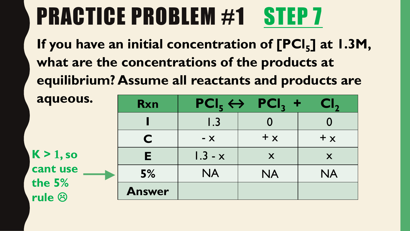| aqueous.                    | <b>Rxn</b>    |           | $PCI_5 \leftrightarrow PCI_3 +$ | CI,       |
|-----------------------------|---------------|-----------|---------------------------------|-----------|
|                             |               | 1.3       |                                 |           |
|                             | C             | $- X$     | $+ x$                           | $+ x$     |
| $K > 1$ , so                | E             | $1.3 - x$ | X                               | X         |
| cant use                    | 5%            | <b>NA</b> | <b>NA</b>                       | <b>NA</b> |
| the 5%<br>rule <sup>®</sup> | <b>Answer</b> |           |                                 |           |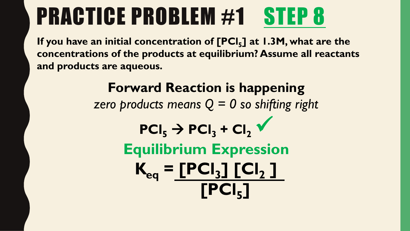**If you have an initial concentration of [PCl<sup>5</sup> ] at 1.3M, what are the concentrations of the products at equilibrium? Assume all reactants and products are aqueous.**

> **Forward Reaction is happening**  *zero products means Q = 0 so shifting right*  $PCI_{5}$   $\rightarrow$   $PCI_{3}$   $+$   $Cl_{2}$   $\checkmark$ **Equilibrium Expression**  $K_{eq}$  =  $[PCI_3] [Cl_2]$ **[PCl<sup>5</sup> ]**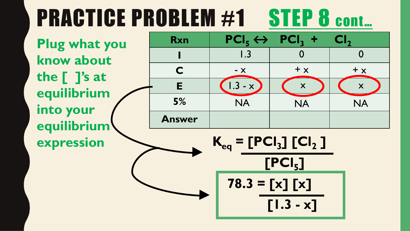## PRACTICE PROBLEM #1 STEP 8 cont...

**Plug what you know about the [ ]'s at equilibrium into your equilibrium expression**

| <b>Rxn</b>    |                            | $ PCI_5 \leftrightarrow PCI_3  +$ | Cl <sub>2</sub> |
|---------------|----------------------------|-----------------------------------|-----------------|
|               | $\overline{\mathsf{I}}$ .3 |                                   |                 |
| C             | $- x$                      | $+ x$                             | $+ x$           |
| Е             | $1.3 - x$                  | X                                 |                 |
| 5%            | <b>NA</b>                  | <b>NA</b>                         | <b>NA</b>       |
| <b>Answer</b> |                            |                                   |                 |

 $K_{eq}$  =  $[PCI_3]$   $[Cl_2]$ **[PCl<sup>5</sup> ] 78.3 = [x] [x] [1.3 - x]**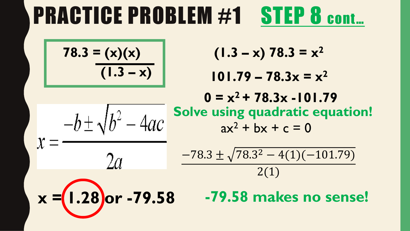#### PRACTICE PROBLEM #1 STEP 8 cont...

$$
78.3 = (x)(x)
$$
  
(1.3 - x)

 $-b \pm \sqrt{b^2 - 4ac}$ 

 $2a$ 

$$
(1.3 - x) 78.3 = x^2
$$

$$
101.79 - 78.3x = x^2
$$

**Solve using quadratic equation!**  $ax^{2} + bx + c = 0$  $0 = x^2 + 78.3x - 101.79$ 

$$
\frac{-78.3 \pm \sqrt{78.3^2 - 4(1)(-101.79)}}{2(1)}
$$

$$
x = (1.28) \text{or} -79.58
$$

**x = 1.28 or -79.58 -79.58 makes no sense!**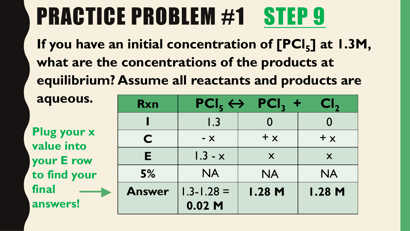| aqueous.                         | <b>Rxn</b>    |                | $\text{PCI}_5 \leftrightarrow \text{PCI}_3 +$ | $\mathsf{CI}_2$ |
|----------------------------------|---------------|----------------|-----------------------------------------------|-----------------|
|                                  |               | 1.3            |                                               |                 |
| <b>Plug your x</b><br>value into | C             | $- X$          | $+ x$                                         | $+ x$           |
| your E row                       | E             | $1.3 - x$      | X                                             | X               |
| to find your                     | 5%            | <b>NA</b>      | <b>NA</b>                                     | <b>NA</b>       |
| final                            | <b>Answer</b> | $1.3 - 1.28 =$ | <b>I.28 M</b>                                 | <b>I.28 M</b>   |
| answers!                         |               | $0.02$ M       |                                               |                 |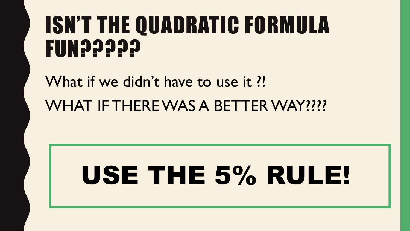#### ISN'T THE QUADRATIC FORMULA **FUN?????**

What if we didn't have to use it ?! WHAT IF THERE WAS A BETTER WAY????

# USE THE 5% RULE!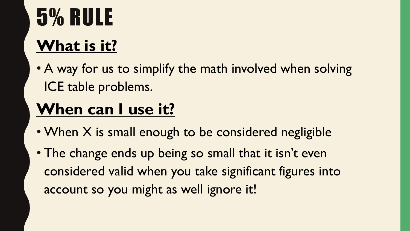# 5% RULE

#### **What is it?**

• A way for us to simplify the math involved when solving ICE table problems.

#### **When can I use it?**

- When X is small enough to be considered negligible
- The change ends up being so small that it isn't even considered valid when you take significant figures into account so you might as well ignore it!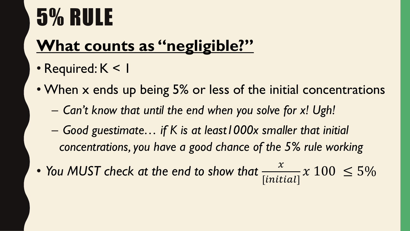## 5% RULE

#### **What counts as "negligible?"**

- Required: K < I
- When x ends up being 5% or less of the initial concentrations
	- *Can't know that until the end when you solve for x! Ugh!*
	- *Good guestimate… if K is at least1000x smaller that initial concentrations, you have a good chance of the 5% rule working*
- *You MUST check at the end to show that*   $[initial]$  $x 100 \le 5\%$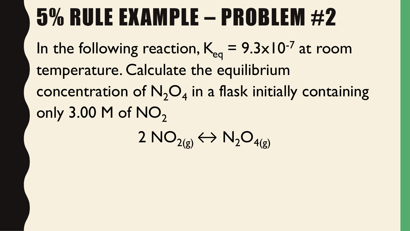#### 5% RULE EXAMPLE – PROBLEM #2

In the following reaction,  $K_{eq} = 9.3 \times 10^{-7}$  at room temperature. Calculate the equilibrium concentration of  $N_2O_4$  in a flask initially containing only  $3.00$  M of NO<sub>2</sub>

2  $NO_{2(g)} \leftrightarrow N_2O_{4(g)}$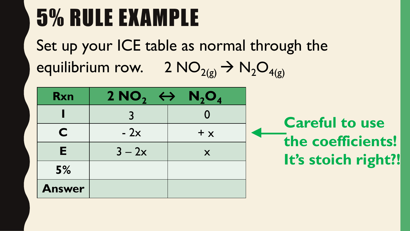### 5% RULE EXAMPLE

Set up your ICE table as normal through the equilibrium row. 2  $NO_{2(g)} \rightarrow N_2O_{4(g)}$ 

| <b>Rxn</b>    | 2 NO <sub>2</sub> $\leftrightarrow$ N <sub>2</sub> O <sub>4</sub> |                   |
|---------------|-------------------------------------------------------------------|-------------------|
|               | $\mathbf{R}$                                                      | $\mathbf{\Omega}$ |
| C             | $-2x$                                                             | $+ x$             |
| E             | $3 - 2x$                                                          | X                 |
| 5%            |                                                                   |                   |
| <b>Answer</b> |                                                                   |                   |

**Careful to use the coefficients! It's stoich right?!**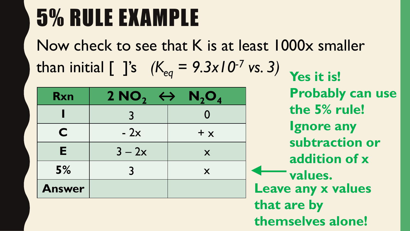### 5% RULE EXAMPLE

Now check to see that K is at least 1000x smaller than initial  $[$  ]'s  $(K_{eq} = 9.3 \times 10^{-7} \text{ vs. 3})$ 

| <b>Rxn</b>    | 2 NO <sub>2</sub> $\leftrightarrow$ N <sub>2</sub> O <sub>4</sub> |       |
|---------------|-------------------------------------------------------------------|-------|
|               | マ                                                                 |       |
| C             | $-2x$                                                             | $+ x$ |
| Е             | $3 - 2x$                                                          | X     |
| 5%            |                                                                   | X     |
| <b>Answer</b> |                                                                   |       |

**Yes it is! Probably can use the 5% rule! Ignore any subtraction or addition of x values. Leave any x values that are by themselves alone!**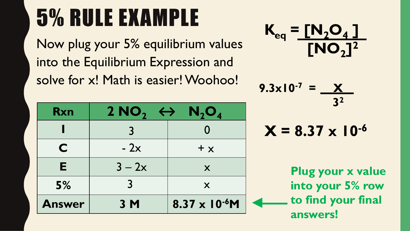## 5% RULE EXAMPLE

Now plug your 5% equilibrium values into the Equilibrium Expression and solve for x! Math is easier! Woohoo!

| <b>Rxn</b>    | 2 NO <sub>2</sub> $\leftrightarrow$ N <sub>2</sub> O <sub>4</sub> |                         |
|---------------|-------------------------------------------------------------------|-------------------------|
|               |                                                                   |                         |
| C             | $-2x$                                                             | $+ x$                   |
| E.            | $3 - 2x$                                                          | X                       |
| 5%            | $\mathbf{R}$                                                      | X                       |
| <b>Answer</b> | 3 M                                                               | $8.37 \times 10^{-6}$ M |



$$
9.3 \times 10^{-7} = \frac{X}{3^2}
$$

$$
X = 8.37 \times 10^{-6}
$$

**Plug your x value into your 5% row to find your final answers!**